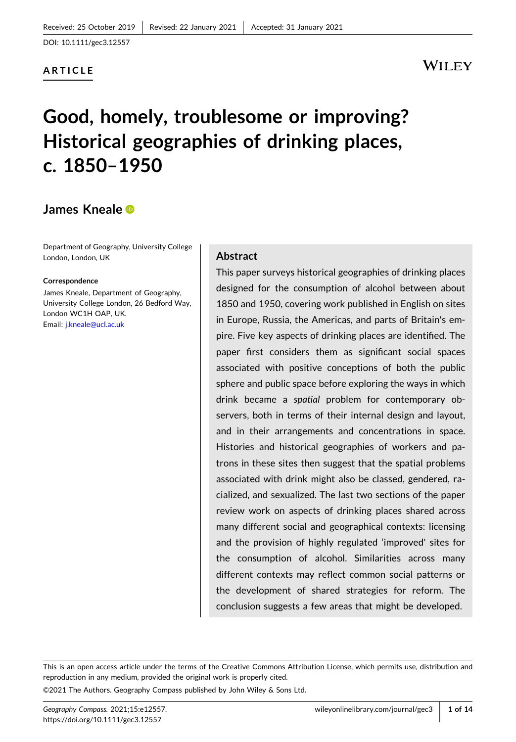# **ARTICLE**

# WILEY

# **Good, homely, troublesome or improving? Historical geographies of drinking places, c. 1850–1950**

# **James Kneale**

Department of Geography, University College London, London, UK

### **Correspondence**

James Kneale, Department of Geography, University College London, 26 Bedford Way, London WC1H OAP, UK. Email: [j.kneale@ucl.ac.uk](mailto:j.kneale@ucl.ac.uk)

### **Abstract**

This paper surveys historical geographies of drinking places designed for the consumption of alcohol between about 1850 and 1950, covering work published in English on sites in Europe, Russia, the Americas, and parts of Britain's empire. Five key aspects of drinking places are identified. The paper first considers them as significant social spaces associated with positive conceptions of both the public sphere and public space before exploring the ways in which drink became a *spatial* problem for contemporary observers, both in terms of their internal design and layout, and in their arrangements and concentrations in space. Histories and historical geographies of workers and patrons in these sites then suggest that the spatial problems associated with drink might also be classed, gendered, racialized, and sexualized. The last two sections of the paper review work on aspects of drinking places shared across many different social and geographical contexts: licensing and the provision of highly regulated 'improved' sites for the consumption of alcohol. Similarities across many different contexts may reflect common social patterns or the development of shared strategies for reform. The conclusion suggests a few areas that might be developed.

This is an open access article under the terms of the Creative Commons Attribution License, which permits use, distribution and reproduction in any medium, provided the original work is properly cited.

©2021 The Authors. Geography Compass published by John Wiley & Sons Ltd.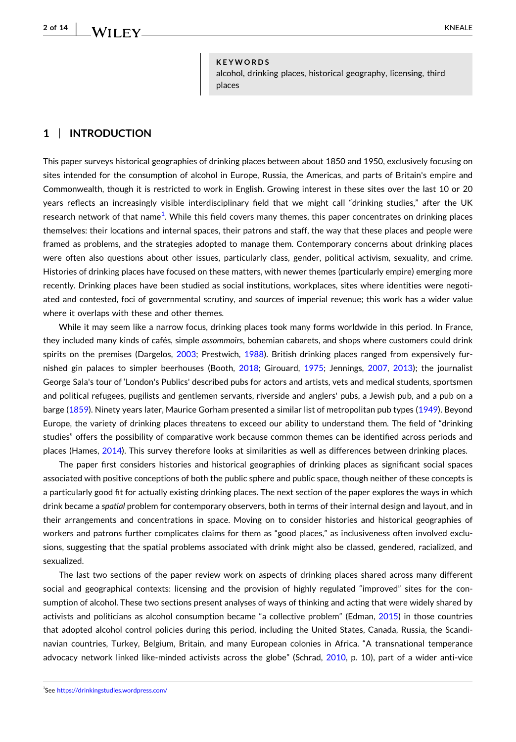### **KEYWORDS**

alcohol, drinking places, historical geography, licensing, third places

# **1** <sup>|</sup> **INTRODUCTION**

This paper surveys historical geographies of drinking places between about 1850 and 1950, exclusively focusing on sites intended for the consumption of alcohol in Europe, Russia, the Americas, and parts of Britain's empire and Commonwealth, though it is restricted to work in English. Growing interest in these sites over the last 10 or 20 years reflects an increasingly visible interdisciplinary field that we might call "drinking studies," after the UK research network of that name $^{\rm 1}$ . While this field covers many themes, this paper concentrates on drinking places themselves: their locations and internal spaces, their patrons and staff, the way that these places and people were framed as problems, and the strategies adopted to manage them. Contemporary concerns about drinking places were often also questions about other issues, particularly class, gender, political activism, sexuality, and crime. Histories of drinking places have focused on these matters, with newer themes (particularly empire) emerging more recently. Drinking places have been studied as social institutions, workplaces, sites where identities were negotiated and contested, foci of governmental scrutiny, and sources of imperial revenue; this work has a wider value where it overlaps with these and other themes.

While it may seem like a narrow focus, drinking places took many forms worldwide in this period. In France, they included many kinds of cafés, simple *assommoirs*, bohemian cabarets, and shops where customers could drink spirits on the premises (Dargelos, [2003](#page-9-0); Prestwich, [1988\)](#page-12-0). British drinking places ranged from expensively furnished gin palaces to simpler beerhouses (Booth, [2018;](#page-9-0) Girouard, [1975](#page-10-0); Jennings, [2007](#page-11-0), [2013\)](#page-11-0); the journalist George Sala's tour of 'London's Publics' described pubs for actors and artists, vets and medical students, sportsmen and political refugees, pugilists and gentlemen servants, riverside and anglers' pubs, a Jewish pub, and a pub on a barge ([1859](#page-12-0)). Ninety years later, Maurice Gorham presented a similar list of metropolitan pub types [\(1949](#page-10-0)). Beyond Europe, the variety of drinking places threatens to exceed our ability to understand them. The field of "drinking studies" offers the possibility of comparative work because common themes can be identified across periods and places (Hames, [2014](#page-10-0)). This survey therefore looks at similarities as well as differences between drinking places.

The paper first considers histories and historical geographies of drinking places as significant social spaces associated with positive conceptions of both the public sphere and public space, though neither of these concepts is a particularly good fit for actually existing drinking places. The next section of the paper explores the ways in which drink became a *spatial* problem for contemporary observers, both in terms of their internal design and layout, and in their arrangements and concentrations in space. Moving on to consider histories and historical geographies of workers and patrons further complicates claims for them as "good places," as inclusiveness often involved exclusions, suggesting that the spatial problems associated with drink might also be classed, gendered, racialized, and sexualized.

The last two sections of the paper review work on aspects of drinking places shared across many different social and geographical contexts: licensing and the provision of highly regulated "improved" sites for the consumption of alcohol. These two sections present analyses of ways of thinking and acting that were widely shared by activists and politicians as alcohol consumption became "a collective problem" (Edman, [2015](#page-10-0)) in those countries that adopted alcohol control policies during this period, including the United States, Canada, Russia, the Scandinavian countries, Turkey, Belgium, Britain, and many European colonies in Africa. "A transnational temperance advocacy network linked like-minded activists across the globe" (Schrad, [2010,](#page-12-0) p. 10), part of a wider anti-vice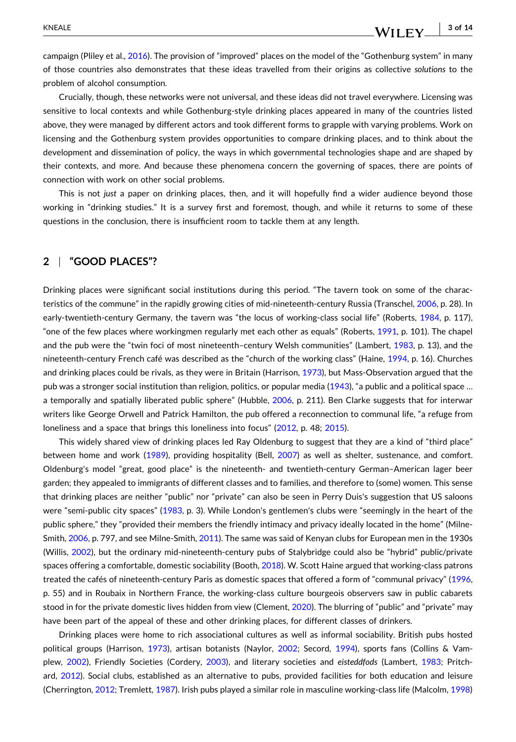campaign (Pliley et al., [2016\)](#page-12-0). The provision of "improved" places on the model of the "Gothenburg system" in many of those countries also demonstrates that these ideas travelled from their origins as collective *solutions* to the problem of alcohol consumption.

Crucially, though, these networks were not universal, and these ideas did not travel everywhere. Licensing was sensitive to local contexts and while Gothenburg-style drinking places appeared in many of the countries listed above, they were managed by different actors and took different forms to grapple with varying problems. Work on licensing and the Gothenburg system provides opportunities to compare drinking places, and to think about the development and dissemination of policy, the ways in which governmental technologies shape and are shaped by their contexts, and more. And because these phenomena concern the governing of spaces, there are points of connection with work on other social problems.

This is not *just* a paper on drinking places, then, and it will hopefully find a wider audience beyond those working in "drinking studies." It is a survey first and foremost, though, and while it returns to some of these questions in the conclusion, there is insufficient room to tackle them at any length.

# **2** <sup>|</sup> **"GOOD PLACES"?**

Drinking places were significant social institutions during this period. "The tavern took on some of the characteristics of the commune" in the rapidly growing cities of mid‐nineteenth‐century Russia (Transchel, [2006](#page-13-0), p. 28). In early-twentieth-century Germany, the tavern was "the locus of working-class social life" (Roberts, [1984,](#page-12-0) p. 117), "one of the few places where workingmen regularly met each other as equals" (Roberts, [1991,](#page-12-0) p. 101). The chapel and the pub were the "twin foci of most nineteenth–century Welsh communities" (Lambert, [1983](#page-11-0), p. 13), and the nineteenth-century French café was described as the "church of the working class" (Haine, [1994,](#page-10-0) p. 16). Churches and drinking places could be rivals, as they were in Britain (Harrison, [1973](#page-10-0)), but Mass-Observation argued that the pub was a stronger social institution than religion, politics, or popular media ([1943](#page-11-0)), "a public and a political space … a temporally and spatially liberated public sphere" (Hubble, [2006](#page-10-0), p. 211). Ben Clarke suggests that for interwar writers like George Orwell and Patrick Hamilton, the pub offered a reconnection to communal life, "a refuge from loneliness and a space that brings this loneliness into focus" ([2012](#page-9-0), p. 48; [2015\)](#page-9-0).

This widely shared view of drinking places led Ray Oldenburg to suggest that they are a kind of "third place" between home and work [\(1989\)](#page-12-0), providing hospitality (Bell, [2007](#page-9-0)) as well as shelter, sustenance, and comfort. Oldenburg's model "great, good place" is the nineteenth‐ and twentieth‐century German–American lager beer garden; they appealed to immigrants of different classes and to families, and therefore to (some) women. This sense that drinking places are neither "public" nor "private" can also be seen in Perry Duis's suggestion that US saloons were "semi-public city spaces" ([1983](#page-10-0), p. 3). While London's gentlemen's clubs were "seemingly in the heart of the public sphere," they "provided their members the friendly intimacy and privacy ideally located in the home" (Milne-Smith, [2006,](#page-11-0) p. 797, and see Milne‐Smith, [2011\)](#page-11-0). The same was said of Kenyan clubs for European men in the 1930s (Willis, [2002\)](#page-13-0), but the ordinary mid‐nineteenth‐century pubs of Stalybridge could also be "hybrid" public/private spaces offering a comfortable, domestic sociability (Booth, [2018](#page-9-0)). W. Scott Haine argued that working-class patrons treated the cafés of nineteenth‐century Paris as domestic spaces that offered a form of "communal privacy" [\(1996](#page-10-0), p. 55) and in Roubaix in Northern France, the working‐class culture bourgeois observers saw in public cabarets stood in for the private domestic lives hidden from view (Clement, [2020\)](#page-9-0). The blurring of "public" and "private" may have been part of the appeal of these and other drinking places, for different classes of drinkers.

Drinking places were home to rich associational cultures as well as informal sociability. British pubs hosted political groups (Harrison, [1973](#page-10-0)), artisan botanists (Naylor, [2002;](#page-12-0) Secord, [1994\)](#page-12-0), sports fans (Collins & Vamplew, [2002](#page-9-0)), Friendly Societies (Cordery, [2003](#page-9-0)), and literary societies and *eisteddfods* (Lambert, [1983](#page-11-0); Pritchard, [2012\)](#page-12-0). Social clubs, established as an alternative to pubs, provided facilities for both education and leisure (Cherrington, [2012;](#page-9-0) Tremlett, [1987\)](#page-13-0). Irish pubs played a similar role in masculine working‐class life (Malcolm, [1998\)](#page-11-0)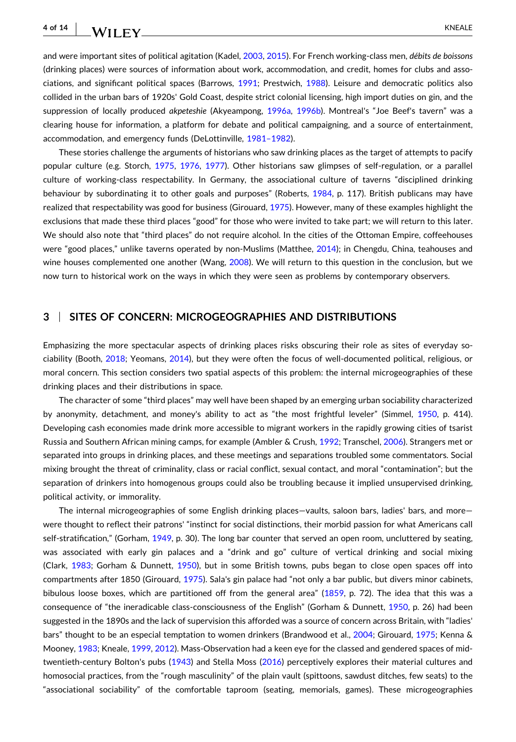# WILEY KNEALE

and were important sites of political agitation (Kadel, [2003,](#page-11-0) [2015](#page-11-0)). For French working‐class men, *débits de boissons* (drinking places) were sources of information about work, accommodation, and credit, homes for clubs and associations, and significant political spaces (Barrows, [1991;](#page-9-0) Prestwich, [1988\)](#page-12-0). Leisure and democratic politics also collided in the urban bars of 1920s' Gold Coast, despite strict colonial licensing, high import duties on gin, and the suppression of locally produced *akpeteshie* (Akyeampong, [1996a](#page-9-0), [1996b](#page-9-0)). Montreal's "Joe Beef's tavern" was a clearing house for information, a platform for debate and political campaigning, and a source of entertainment, accommodation, and emergency funds (DeLottinville, [1981–1982](#page-10-0)).

These stories challenge the arguments of historians who saw drinking places as the target of attempts to pacify popular culture (e.g. Storch, [1975,](#page-13-0) [1976](#page-13-0), [1977](#page-13-0)). Other historians saw glimpses of self-regulation, or a parallel culture of working‐class respectability. In Germany, the associational culture of taverns "disciplined drinking behaviour by subordinating it to other goals and purposes" (Roberts, [1984,](#page-12-0) p. 117). British publicans may have realized that respectability was good for business (Girouard, [1975\)](#page-10-0). However, many of these examples highlight the exclusions that made these third places "good" for those who were invited to take part; we will return to this later. We should also note that "third places" do not require alcohol. In the cities of the Ottoman Empire, coffeehouses were "good places," unlike taverns operated by non-Muslims (Matthee, [2014\)](#page-11-0); in Chengdu, China, teahouses and wine houses complemented one another (Wang, [2008\)](#page-13-0). We will return to this question in the conclusion, but we now turn to historical work on the ways in which they were seen as problems by contemporary observers.

# **3** <sup>|</sup> **SITES OF CONCERN: MICROGEOGRAPHIES AND DISTRIBUTIONS**

Emphasizing the more spectacular aspects of drinking places risks obscuring their role as sites of everyday so-ciability (Booth, [2018;](#page-9-0) Yeomans, [2014\)](#page-13-0), but they were often the focus of well-documented political, religious, or moral concern. This section considers two spatial aspects of this problem: the internal microgeographies of these drinking places and their distributions in space.

The character of some "third places" may well have been shaped by an emerging urban sociability characterized by anonymity, detachment, and money's ability to act as "the most frightful leveler" (Simmel, [1950,](#page-13-0) p. 414). Developing cash economies made drink more accessible to migrant workers in the rapidly growing cities of tsarist Russia and Southern African mining camps, for example (Ambler & Crush, [1992](#page-9-0); Transchel, [2006\)](#page-13-0). Strangers met or separated into groups in drinking places, and these meetings and separations troubled some commentators. Social mixing brought the threat of criminality, class or racial conflict, sexual contact, and moral "contamination"; but the separation of drinkers into homogenous groups could also be troubling because it implied unsupervised drinking, political activity, or immorality.

The internal microgeographies of some English drinking places—vaults, saloon bars, ladies' bars, and more were thought to reflect their patrons' "instinct for social distinctions, their morbid passion for what Americans call self-stratification," (Gorham, [1949](#page-10-0), p. 30). The long bar counter that served an open room, uncluttered by seating, was associated with early gin palaces and a "drink and go" culture of vertical drinking and social mixing (Clark, [1983](#page-9-0); Gorham & Dunnett, [1950\)](#page-10-0), but in some British towns, pubs began to close open spaces off into compartments after 1850 (Girouard, [1975\)](#page-10-0). Sala's gin palace had "not only a bar public, but divers minor cabinets, bibulous loose boxes, which are partitioned off from the general area" ([1859](#page-12-0), p. 72). The idea that this was a consequence of "the ineradicable class‐consciousness of the English" (Gorham & Dunnett, [1950](#page-10-0), p. 26) had been suggested in the 1890s and the lack of supervision this afforded was a source of concern across Britain, with "ladies' bars" thought to be an especial temptation to women drinkers (Brandwood et al., [2004](#page-9-0); Girouard, [1975](#page-10-0); Kenna & Mooney, [1983;](#page-11-0) Kneale, [1999,](#page-11-0) [2012](#page-11-0)). Mass‐Observation had a keen eye for the classed and gendered spaces of mid‐ twentieth-century Bolton's pubs ([1943](#page-11-0)) and Stella Moss [\(2016\)](#page-12-0) perceptively explores their material cultures and homosocial practices, from the "rough masculinity" of the plain vault (spittoons, sawdust ditches, few seats) to the "associational sociability" of the comfortable taproom (seating, memorials, games). These microgeographies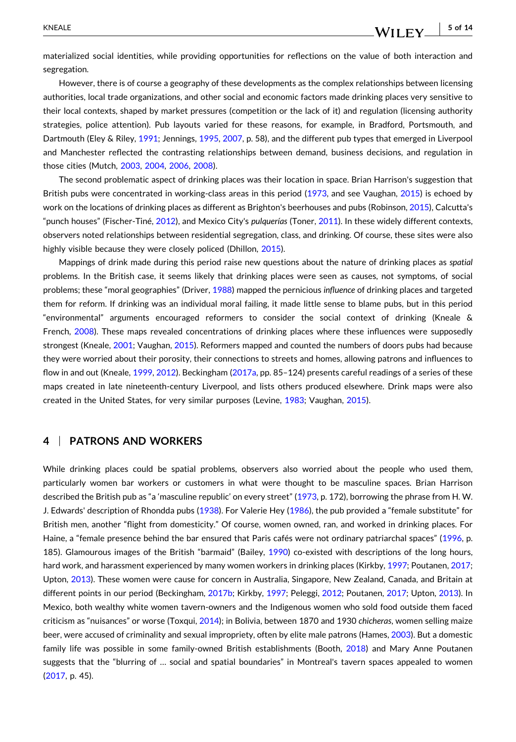WILEY

materialized social identities, while providing opportunities for reflections on the value of both interaction and segregation.

However, there is of course a geography of these developments as the complex relationships between licensing authorities, local trade organizations, and other social and economic factors made drinking places very sensitive to their local contexts, shaped by market pressures (competition or the lack of it) and regulation (licensing authority strategies, police attention). Pub layouts varied for these reasons, for example, in Bradford, Portsmouth, and Dartmouth (Eley & Riley, [1991;](#page-10-0) Jennings, [1995](#page-11-0), [2007,](#page-11-0) p. 58), and the different pub types that emerged in Liverpool and Manchester reflected the contrasting relationships between demand, business decisions, and regulation in those cities (Mutch, [2003,](#page-12-0) [2004,](#page-12-0) [2006](#page-12-0), [2008](#page-12-0)).

The second problematic aspect of drinking places was their location in space. Brian Harrison's suggestion that British pubs were concentrated in working-class areas in this period ([1973](#page-10-0), and see Vaughan, [2015\)](#page-13-0) is echoed by work on the locations of drinking places as different as Brighton's beerhouses and pubs (Robinson, [2015](#page-12-0)), Calcutta's "punch houses" (Fischer‐Tiné, [2012\)](#page-10-0), and Mexico City's *pulquerías* (Toner, [2011\)](#page-13-0). In these widely different contexts, observers noted relationships between residential segregation, class, and drinking. Of course, these sites were also highly visible because they were closely policed (Dhillon, [2015\)](#page-10-0).

Mappings of drink made during this period raise new questions about the nature of drinking places as *spatial* problems. In the British case, it seems likely that drinking places were seen as causes, not symptoms, of social problems; these "moral geographies" (Driver, [1988\)](#page-10-0) mapped the pernicious *influence* of drinking places and targeted them for reform. If drinking was an individual moral failing, it made little sense to blame pubs, but in this period "environmental" arguments encouraged reformers to consider the social context of drinking (Kneale & French, [2008](#page-11-0)). These maps revealed concentrations of drinking places where these influences were supposedly strongest (Kneale, [2001;](#page-11-0) Vaughan, [2015](#page-13-0)). Reformers mapped and counted the numbers of doors pubs had because they were worried about their porosity, their connections to streets and homes, allowing patrons and influences to flow in and out (Kneale, [1999](#page-11-0), [2012](#page-11-0)). Beckingham [\(2017a,](#page-9-0) pp. 85–124) presents careful readings of a series of these maps created in late nineteenth-century Liverpool, and lists others produced elsewhere. Drink maps were also created in the United States, for very similar purposes (Levine, [1983;](#page-11-0) Vaughan, [2015](#page-13-0)).

# **4** <sup>|</sup> **PATRONS AND WORKERS**

While drinking places could be spatial problems, observers also worried about the people who used them, particularly women bar workers or customers in what were thought to be masculine spaces. Brian Harrison described the British pub as "a 'masculine republic' on every street" [\(1973,](#page-10-0) p. 172), borrowing the phrase from H. W. J. Edwards' description of Rhondda pubs [\(1938\)](#page-10-0). For Valerie Hey ([1986](#page-10-0)), the pub provided a "female substitute" for British men, another "flight from domesticity." Of course, women owned, ran, and worked in drinking places. For Haine, a "female presence behind the bar ensured that Paris cafés were not ordinary patriarchal spaces" ([1996,](#page-10-0) p. 185). Glamourous images of the British "barmaid" (Bailey, [1990\)](#page-9-0) co-existed with descriptions of the long hours, hard work, and harassment experienced by many women workers in drinking places (Kirkby, [1997](#page-11-0); Poutanen, [2017](#page-12-0); Upton, [2013](#page-13-0)). These women were cause for concern in Australia, Singapore, New Zealand, Canada, and Britain at different points in our period (Beckingham, [2017b](#page-9-0); Kirkby, [1997;](#page-11-0) Peleggi, [2012](#page-12-0); Poutanen, [2017;](#page-12-0) Upton, [2013\)](#page-13-0). In Mexico, both wealthy white women tavern‐owners and the Indigenous women who sold food outside them faced criticism as "nuisances" or worse (Toxqui, [2014\)](#page-13-0); in Bolivia, between 1870 and 1930 *chicheras*, women selling maize beer, were accused of criminality and sexual impropriety, often by elite male patrons (Hames, [2003](#page-10-0)). But a domestic family life was possible in some family-owned British establishments (Booth, [2018\)](#page-9-0) and Mary Anne Poutanen suggests that the "blurring of … social and spatial boundaries" in Montreal's tavern spaces appealed to women ([2017](#page-12-0), p. 45).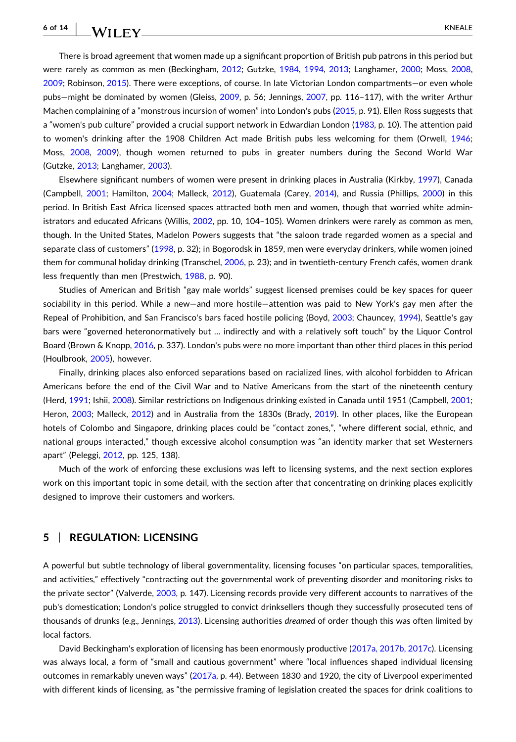There is broad agreement that women made up a significant proportion of British pub patrons in this period but were rarely as common as men (Beckingham, [2012;](#page-9-0) Gutzke, [1984,](#page-10-0) [1994](#page-10-0), [2013;](#page-11-0) Langhamer, [2000](#page-11-0); Moss, [2008](#page-11-0), [2009](#page-12-0); Robinson, [2015\)](#page-12-0). There were exceptions, of course. In late Victorian London compartments—or even whole pubs—might be dominated by women (Gleiss, [2009,](#page-10-0) p. 56; Jennings, [2007](#page-11-0), pp. 116–117), with the writer Arthur Machen complaining of a "monstrous incursion of women" into London's pubs [\(2015,](#page-11-0) p. 91). Ellen Ross suggests that a "women's pub culture" provided a crucial support network in Edwardian London [\(1983,](#page-12-0) p. 10). The attention paid to women's drinking after the 1908 Children Act made British pubs less welcoming for them (Orwell, [1946](#page-12-0); Moss, [2008](#page-11-0), [2009\)](#page-12-0), though women returned to pubs in greater numbers during the Second World War (Gutzke, [2013](#page-10-0); Langhamer, [2003](#page-11-0)).

Elsewhere significant numbers of women were present in drinking places in Australia (Kirkby, [1997](#page-11-0)), Canada (Campbell, [2001;](#page-9-0) Hamilton, [2004](#page-10-0); Malleck, [2012\)](#page-11-0), Guatemala (Carey, [2014](#page-9-0)), and Russia (Phillips, [2000\)](#page-12-0) in this period. In British East Africa licensed spaces attracted both men and women, though that worried white administrators and educated Africans (Willis, [2002,](#page-13-0) pp. 10, 104–105). Women drinkers were rarely as common as men, though. In the United States, Madelon Powers suggests that "the saloon trade regarded women as a special and separate class of customers" ([1998](#page-12-0), p. 32); in Bogorodsk in 1859, men were everyday drinkers, while women joined them for communal holiday drinking (Transchel, [2006](#page-13-0), p. 23); and in twentieth-century French cafés, women drank less frequently than men (Prestwich, [1988](#page-12-0), p. 90).

Studies of American and British "gay male worlds" suggest licensed premises could be key spaces for queer sociability in this period. While a new—and more hostile—attention was paid to New York's gay men after the Repeal of Prohibition, and San Francisco's bars faced hostile policing (Boyd, [2003;](#page-9-0) Chauncey, [1994\)](#page-9-0), Seattle's gay bars were "governed heteronormatively but … indirectly and with a relatively soft touch" by the Liquor Control Board (Brown & Knopp, [2016](#page-9-0), p. 337). London's pubs were no more important than other third places in this period (Houlbrook, [2005](#page-10-0)), however.

Finally, drinking places also enforced separations based on racialized lines, with alcohol forbidden to African Americans before the end of the Civil War and to Native Americans from the start of the nineteenth century (Herd, [1991](#page-10-0); Ishii, [2008\)](#page-11-0). Similar restrictions on Indigenous drinking existed in Canada until 1951 (Campbell, [2001](#page-9-0); Heron, [2003](#page-10-0); Malleck, [2012](#page-11-0)) and in Australia from the 1830s (Brady, [2019](#page-9-0)). In other places, like the European hotels of Colombo and Singapore, drinking places could be "contact zones,", "where different social, ethnic, and national groups interacted," though excessive alcohol consumption was "an identity marker that set Westerners apart" (Peleggi, [2012](#page-12-0), pp. 125, 138).

Much of the work of enforcing these exclusions was left to licensing systems, and the next section explores work on this important topic in some detail, with the section after that concentrating on drinking places explicitly designed to improve their customers and workers.

# **5** <sup>|</sup> **REGULATION: LICENSING**

A powerful but subtle technology of liberal governmentality, licensing focuses "on particular spaces, temporalities, and activities," effectively "contracting out the governmental work of preventing disorder and monitoring risks to the private sector" (Valverde, [2003](#page-13-0), p. 147). Licensing records provide very different accounts to narratives of the pub's domestication; London's police struggled to convict drinksellers though they successfully prosecuted tens of thousands of drunks (e.g., Jennings, [2013\)](#page-11-0). Licensing authorities *dreamed* of order though this was often limited by local factors.

David Beckingham's exploration of licensing has been enormously productive (2017a, [2017b,](#page-9-0) 2017c). Licensing was always local, a form of "small and cautious government" where "local influences shaped individual licensing outcomes in remarkably uneven ways" ([2017a](#page-9-0), p. 44). Between 1830 and 1920, the city of Liverpool experimented with different kinds of licensing, as "the permissive framing of legislation created the spaces for drink coalitions to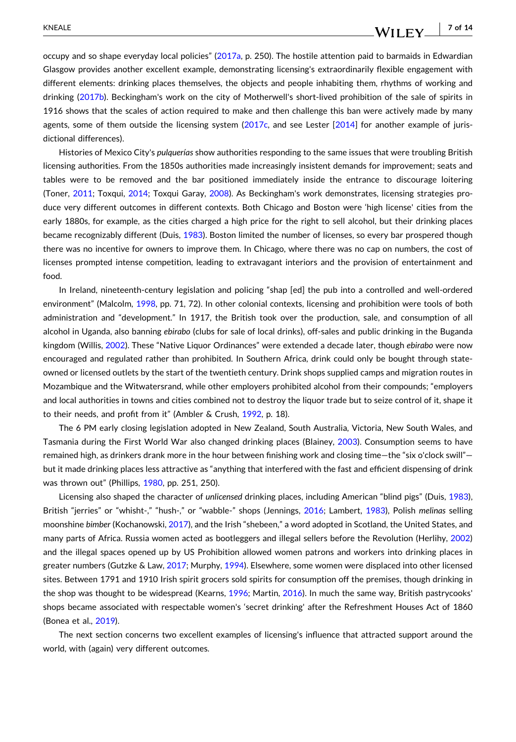#### - **7 of 14**WILEY\_

occupy and so shape everyday local policies" ([2017a](#page-9-0), p. 250). The hostile attention paid to barmaids in Edwardian Glasgow provides another excellent example, demonstrating licensing's extraordinarily flexible engagement with different elements: drinking places themselves, the objects and people inhabiting them, rhythms of working and drinking ([2017b\)](#page-9-0). Beckingham's work on the city of Motherwell's short-lived prohibition of the sale of spirits in 1916 shows that the scales of action required to make and then challenge this ban were actively made by many agents, some of them outside the licensing system [\(2017c,](#page-9-0) and see Lester [\[2014\]](#page-11-0) for another example of jurisdictional differences).

Histories of Mexico City's *pulquerías* show authorities responding to the same issues that were troubling British licensing authorities. From the 1850s authorities made increasingly insistent demands for improvement; seats and tables were to be removed and the bar positioned immediately inside the entrance to discourage loitering (Toner, [2011;](#page-13-0) Toxqui, [2014](#page-13-0); Toxqui Garay, [2008](#page-13-0)). As Beckingham's work demonstrates, licensing strategies produce very different outcomes in different contexts. Both Chicago and Boston were 'high license' cities from the early 1880s, for example, as the cities charged a high price for the right to sell alcohol, but their drinking places became recognizably different (Duis, [1983\)](#page-10-0). Boston limited the number of licenses, so every bar prospered though there was no incentive for owners to improve them. In Chicago, where there was no cap on numbers, the cost of licenses prompted intense competition, leading to extravagant interiors and the provision of entertainment and food.

In Ireland, nineteenth‐century legislation and policing "shap [ed] the pub into a controlled and well‐ordered environment" (Malcolm, [1998](#page-11-0), pp. 71, 72). In other colonial contexts, licensing and prohibition were tools of both administration and "development." In 1917, the British took over the production, sale, and consumption of all alcohol in Uganda, also banning *ebirabo* (clubs for sale of local drinks), off‐sales and public drinking in the Buganda kingdom (Willis, [2002\)](#page-13-0). These "Native Liquor Ordinances" were extended a decade later, though *ebirabo* were now encouraged and regulated rather than prohibited. In Southern Africa, drink could only be bought through state‐ owned or licensed outlets by the start of the twentieth century. Drink shops supplied camps and migration routes in Mozambique and the Witwatersrand, while other employers prohibited alcohol from their compounds; "employers and local authorities in towns and cities combined not to destroy the liquor trade but to seize control of it, shape it to their needs, and profit from it" (Ambler & Crush, [1992,](#page-9-0) p. 18).

The 6 PM early closing legislation adopted in New Zealand, South Australia, Victoria, New South Wales, and Tasmania during the First World War also changed drinking places (Blainey, [2003\)](#page-9-0). Consumption seems to have remained high, as drinkers drank more in the hour between finishing work and closing time—the "six o'clock swill" but it made drinking places less attractive as "anything that interfered with the fast and efficient dispensing of drink was thrown out" (Phillips, [1980,](#page-12-0) pp. 251, 250).

Licensing also shaped the character of *unlicensed* drinking places, including American "blind pigs" (Duis, [1983](#page-10-0)), British "jerries" or "whisht‐," "hush‐," or "wabble‐" shops (Jennings, [2016](#page-11-0); Lambert, [1983](#page-11-0)), Polish *melinas* selling moonshine *bimber* (Kochanowski, [2017\)](#page-11-0), and the Irish "shebeen," a word adopted in Scotland, the United States, and many parts of Africa. Russia women acted as bootleggers and illegal sellers before the Revolution (Herlihy, [2002\)](#page-10-0) and the illegal spaces opened up by US Prohibition allowed women patrons and workers into drinking places in greater numbers (Gutzke & Law, [2017](#page-10-0); Murphy, [1994](#page-12-0)). Elsewhere, some women were displaced into other licensed sites. Between 1791 and 1910 Irish spirit grocers sold spirits for consumption off the premises, though drinking in the shop was thought to be widespread (Kearns, [1996](#page-11-0); Martin, [2016](#page-11-0)). In much the same way, British pastrycooks' shops became associated with respectable women's 'secret drinking' after the Refreshment Houses Act of 1860 (Bonea et al., [2019](#page-9-0)).

The next section concerns two excellent examples of licensing's influence that attracted support around the world, with (again) very different outcomes.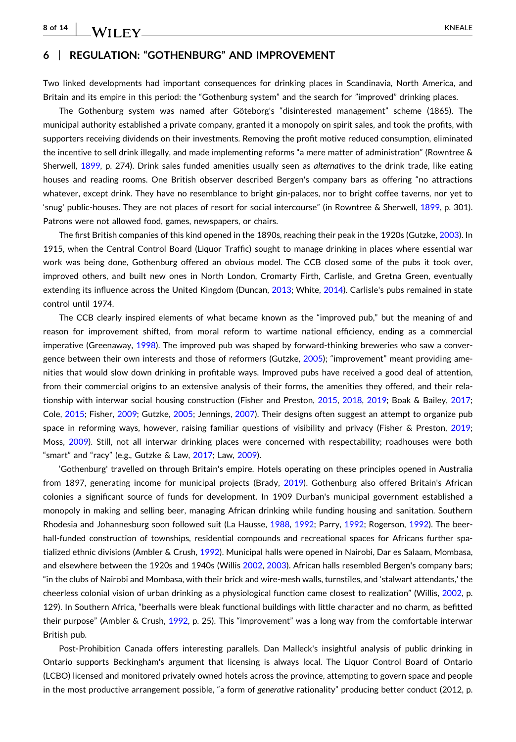# **6** <sup>|</sup> **REGULATION: "GOTHENBURG" AND IMPROVEMENT**

Two linked developments had important consequences for drinking places in Scandinavia, North America, and Britain and its empire in this period: the "Gothenburg system" and the search for "improved" drinking places.

The Gothenburg system was named after Göteborg's "disinterested management" scheme (1865). The municipal authority established a private company, granted it a monopoly on spirit sales, and took the profits, with supporters receiving dividends on their investments. Removing the profit motive reduced consumption, eliminated the incentive to sell drink illegally, and made implementing reforms "a mere matter of administration" (Rowntree & Sherwell, [1899](#page-12-0), p. 274). Drink sales funded amenities usually seen as *alternatives* to the drink trade, like eating houses and reading rooms. One British observer described Bergen's company bars as offering "no attractions whatever, except drink. They have no resemblance to bright gin‐palaces, nor to bright coffee taverns, nor yet to 'snug' public‐houses. They are not places of resort for social intercourse" (in Rowntree & Sherwell, [1899](#page-12-0), p. 301). Patrons were not allowed food, games, newspapers, or chairs.

The first British companies of this kind opened in the 1890s, reaching their peak in the 1920s (Gutzke, [2003](#page-10-0)). In 1915, when the Central Control Board (Liquor Traffic) sought to manage drinking in places where essential war work was being done, Gothenburg offered an obvious model. The CCB closed some of the pubs it took over, improved others, and built new ones in North London, Cromarty Firth, Carlisle, and Gretna Green, eventually extending its influence across the United Kingdom (Duncan, [2013;](#page-10-0) White, [2014\)](#page-13-0). Carlisle's pubs remained in state control until 1974.

The CCB clearly inspired elements of what became known as the "improved pub," but the meaning of and reason for improvement shifted, from moral reform to wartime national efficiency, ending as a commercial imperative (Greenaway, [1998](#page-10-0)). The improved pub was shaped by forward-thinking breweries who saw a conver-gence between their own interests and those of reformers (Gutzke, [2005](#page-10-0)); "improvement" meant providing amenities that would slow down drinking in profitable ways. Improved pubs have received a good deal of attention, from their commercial origins to an extensive analysis of their forms, the amenities they offered, and their relationship with interwar social housing construction (Fisher and Preston, [2015](#page-10-0), [2018](#page-10-0), [2019](#page-10-0); Boak & Bailey, [2017](#page-9-0); Cole, [2015](#page-9-0); Fisher, [2009;](#page-10-0) Gutzke, [2005](#page-10-0); Jennings, [2007](#page-11-0)). Their designs often suggest an attempt to organize pub space in reforming ways, however, raising familiar questions of visibility and privacy (Fisher & Preston, [2019](#page-10-0); Moss, [2009](#page-12-0)). Still, not all interwar drinking places were concerned with respectability; roadhouses were both "smart" and "racy" (e.g., Gutzke & Law, [2017;](#page-10-0) Law, [2009](#page-11-0)).

'Gothenburg' travelled on through Britain's empire. Hotels operating on these principles opened in Australia from 1897, generating income for municipal projects (Brady, [2019](#page-9-0)). Gothenburg also offered Britain's African colonies a significant source of funds for development. In 1909 Durban's municipal government established a monopoly in making and selling beer, managing African drinking while funding housing and sanitation. Southern Rhodesia and Johannesburg soon followed suit (La Hausse, [1988](#page-11-0), [1992](#page-11-0); Parry, [1992;](#page-12-0) Rogerson, [1992\)](#page-12-0). The beerhall-funded construction of townships, residential compounds and recreational spaces for Africans further spatialized ethnic divisions (Ambler & Crush, [1992](#page-9-0)). Municipal halls were opened in Nairobi, Dar es Salaam, Mombasa, and elsewhere between the 1920s and 1940s (Willis [2002,](#page-13-0) [2003](#page-13-0)). African halls resembled Bergen's company bars; "in the clubs of Nairobi and Mombasa, with their brick and wire‐mesh walls, turnstiles, and 'stalwart attendants,' the cheerless colonial vision of urban drinking as a physiological function came closest to realization" (Willis, [2002,](#page-13-0) p. 129). In Southern Africa, "beerhalls were bleak functional buildings with little character and no charm, as befitted their purpose" (Ambler & Crush, [1992,](#page-9-0) p. 25). This "improvement" was a long way from the comfortable interwar British pub.

Post‐Prohibition Canada offers interesting parallels. Dan Malleck's insightful analysis of public drinking in Ontario supports Beckingham's argument that licensing is always local. The Liquor Control Board of Ontario (LCBO) licensed and monitored privately owned hotels across the province, attempting to govern space and people in the most productive arrangement possible, "a form of *generative* rationality" producing better conduct (2012, p.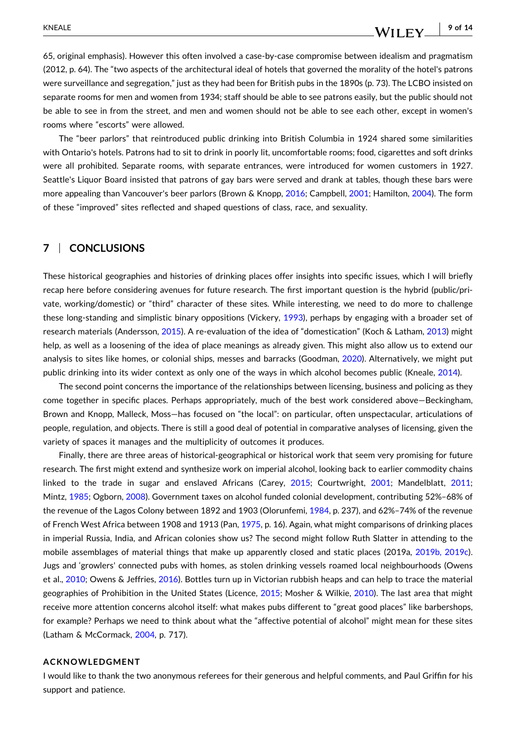#### - **9 of 14**WILEY.

65, original emphasis). However this often involved a case‐by‐case compromise between idealism and pragmatism (2012, p. 64). The "two aspects of the architectural ideal of hotels that governed the morality of the hotel's patrons were surveillance and segregation," just as they had been for British pubs in the 1890s (p. 73). The LCBO insisted on separate rooms for men and women from 1934; staff should be able to see patrons easily, but the public should not be able to see in from the street, and men and women should not be able to see each other, except in women's rooms where "escorts" were allowed.

The "beer parlors" that reintroduced public drinking into British Columbia in 1924 shared some similarities with Ontario's hotels. Patrons had to sit to drink in poorly lit, uncomfortable rooms; food, cigarettes and soft drinks were all prohibited. Separate rooms, with separate entrances, were introduced for women customers in 1927. Seattle's Liquor Board insisted that patrons of gay bars were served and drank at tables, though these bars were more appealing than Vancouver's beer parlors (Brown & Knopp, [2016;](#page-9-0) Campbell, [2001](#page-9-0); Hamilton, [2004\)](#page-10-0). The form of these "improved" sites reflected and shaped questions of class, race, and sexuality.

# **7** <sup>|</sup> **CONCLUSIONS**

These historical geographies and histories of drinking places offer insights into specific issues, which I will briefly recap here before considering avenues for future research. The first important question is the hybrid (public/private, working/domestic) or "third" character of these sites. While interesting, we need to do more to challenge these long‐standing and simplistic binary oppositions (Vickery, [1993\)](#page-13-0), perhaps by engaging with a broader set of research materials (Andersson, [2015](#page-9-0)). A re‐evaluation of the idea of "domestication" (Koch & Latham, [2013\)](#page-11-0) might help, as well as a loosening of the idea of place meanings as already given. This might also allow us to extend our analysis to sites like homes, or colonial ships, messes and barracks (Goodman, [2020](#page-10-0)). Alternatively, we might put public drinking into its wider context as only one of the ways in which alcohol becomes public (Kneale, [2014](#page-11-0)).

The second point concerns the importance of the relationships between licensing, business and policing as they come together in specific places. Perhaps appropriately, much of the best work considered above—Beckingham, Brown and Knopp, Malleck, Moss—has focused on "the local": on particular, often unspectacular, articulations of people, regulation, and objects. There is still a good deal of potential in comparative analyses of licensing, given the variety of spaces it manages and the multiplicity of outcomes it produces.

Finally, there are three areas of historical-geographical or historical work that seem very promising for future research. The first might extend and synthesize work on imperial alcohol, looking back to earlier commodity chains linked to the trade in sugar and enslaved Africans (Carey, [2015;](#page-9-0) Courtwright, [2001](#page-9-0); Mandelblatt, [2011](#page-11-0); Mintz, [1985](#page-11-0); Ogborn, [2008\)](#page-12-0). Government taxes on alcohol funded colonial development, contributing 52%–68% of the revenue of the Lagos Colony between 1892 and 1903 (Olorunfemi, [1984](#page-12-0), p. 237), and 62%–74% of the revenue of French West Africa between 1908 and 1913 (Pan, [1975](#page-12-0), p. 16). Again, what might comparisons of drinking places in imperial Russia, India, and African colonies show us? The second might follow Ruth Slatter in attending to the mobile assemblages of material things that make up apparently closed and static places (2019a, [2019b,](#page-12-0) 2019c). Jugs and 'growlers' connected pubs with homes, as stolen drinking vessels roamed local neighbourhoods (Owens et al., [2010](#page-12-0); Owens & Jeffries, [2016](#page-12-0)). Bottles turn up in Victorian rubbish heaps and can help to trace the material geographies of Prohibition in the United States (Licence, [2015](#page-11-0); Mosher & Wilkie, [2010](#page-11-0)). The last area that might receive more attention concerns alcohol itself: what makes pubs different to "great good places" like barbershops, for example? Perhaps we need to think about what the "affective potential of alcohol" might mean for these sites (Latham & McCormack, [2004](#page-11-0), p. 717).

### **ACKNOWLEDGMENT**

I would like to thank the two anonymous referees for their generous and helpful comments, and Paul Griffin for his support and patience.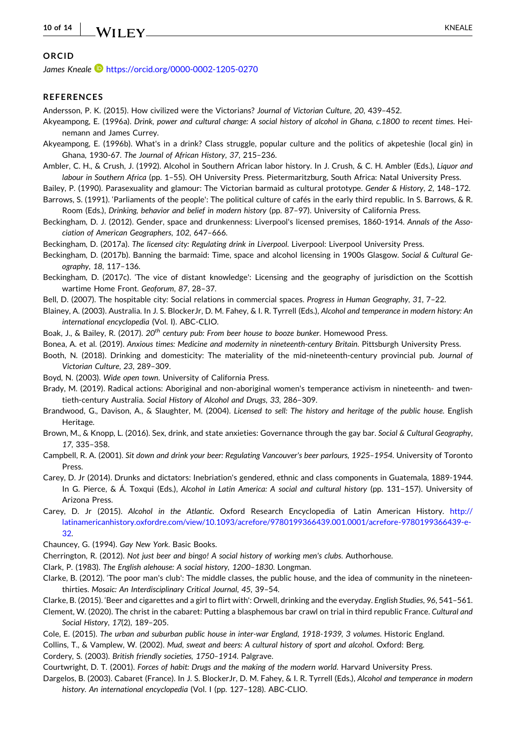#### <span id="page-9-0"></span>**10 of 14** - KNEALE

# **ORCID**

*James Kneale* <https://orcid.org/0000-0002-1205-0270>

# **REFERENCES**

Andersson, P. K. (2015). How civilized were the Victorians? *Journal of Victorian Culture*, *20*, 439–452.

- Akyeampong, E. (1996a). Drink, power and cultural change: A social history of alcohol in Ghana, c.1800 to recent times. Heinemann and James Currey.
- Akyeampong, E. (1996b). What's in a drink? Class struggle, popular culture and the politics of akpeteshie (local gin) in Ghana, 1930‐67. *The Journal of African History*, *37*, 215–236.
- Ambler, C. H., & Crush, J. (1992). Alcohol in Southern African labor history. In J. Crush, & C. H. Ambler (Eds.), *Liquor and labour in Southern Africa* (pp. 1–55). OH University Press. Pietermaritzburg, South Africa: Natal University Press.
- Bailey, P. (1990). Parasexuality and glamour: The Victorian barmaid as cultural prototype. *Gender & History*, *2*, 148–172.
- Barrows, S. (1991). 'Parliaments of the people': The political culture of cafés in the early third republic. In S. Barrows, & R. Room (Eds.), *Drinking, behavior and belief in modern history* (pp. 87–97). University of California Press.
- Beckingham, D. J. (2012). Gender, space and drunkenness: Liverpool's licensed premises, 1860‐1914. *Annals of the Association of American Geographers*, *102*, 647–666.

Beckingham, D. (2017a). *The licensed city: Regulating drink in Liverpool*. Liverpool: Liverpool University Press.

- Beckingham, D. (2017b). Banning the barmaid: Time, space and alcohol licensing in 1900s Glasgow. *Social & Cultural Geography*, *18*, 117–136.
- Beckingham, D. (2017c). 'The vice of distant knowledge': Licensing and the geography of jurisdiction on the Scottish wartime Home Front. *Geoforum*, *87*, 28–37.
- Bell, D. (2007). The hospitable city: Social relations in commercial spaces. *Progress in Human Geography*, *31*, 7–22.
- Blainey, A. (2003). Australia. In J. S. BlockerJr, D. M. Fahey, & I. R. Tyrrell (Eds.), *Alcohol and temperance in modern history: An international encyclopedia* (Vol. I). ABC‐CLIO.
- Boak, J., & Bailey, R. (2017). *20th century pub: From beer house to booze bunker*. Homewood Press.
- Bonea, A. et al. (2019). *Anxious times: Medicine and modernity in nineteenth‐century Britain*. Pittsburgh University Press.
- Booth, N. (2018). Drinking and domesticity: The materiality of the mid‐nineteenth‐century provincial pub. *Journal of Victorian Culture*, *23*, 289–309.
- Boyd, N. (2003). *Wide open town*. University of California Press.
- Brady, M. (2019). Radical actions: Aboriginal and non-aboriginal women's temperance activism in nineteenth- and twentieth‐century Australia. *Social History of Alcohol and Drugs*, *33*, 286–309.
- Brandwood, G., Davison, A., & Slaughter, M. (2004). *Licensed to sell: The history and heritage of the public house*. English Heritage.
- Brown, M., & Knopp, L. (2016). Sex, drink, and state anxieties: Governance through the gay bar. *Social & Cultural Geography*, *17*, 335–358.
- Campbell, R. A. (2001). *Sit down and drink your beer: Regulating Vancouver's beer parlours, 1925–1954*. University of Toronto Press.
- Carey, D. Jr (2014). Drunks and dictators: Inebriation's gendered, ethnic and class components in Guatemala, 1889‐1944. In G. Pierce, & Á. Toxqui (Eds.), *Alcohol in Latin America: A social and cultural history* (pp. 131–157). University of Arizona Press.
- Carey, D. Jr (2015). *Alcohol in the Atlantic*. Oxford Research Encyclopedia of Latin American History. [http://](http://latinamericanhistory.oxfordre.com/view/10.1093/acrefore/9780199366439.001.0001/acrefore-9780199366439-e-32) [latinamericanhistory.oxfordre.com/view/10.1093/acrefore/9780199366439.001.0001/acrefore](http://latinamericanhistory.oxfordre.com/view/10.1093/acrefore/9780199366439.001.0001/acrefore-9780199366439-e-32)‐9780199366439‐e‐ [32](http://latinamericanhistory.oxfordre.com/view/10.1093/acrefore/9780199366439.001.0001/acrefore-9780199366439-e-32).
- Chauncey, G. (1994). *Gay New York*. Basic Books.
- Cherrington, R. (2012). *Not just beer and bingo! A social history of working men's clubs*. Authorhouse.
- Clark, P. (1983). *The English alehouse: A social history, 1200–1830*. Longman.
- Clarke, B. (2012). 'The poor man's club': The middle classes, the public house, and the idea of community in the nineteen‐ thirties. *Mosaic: An Interdisciplinary Critical Journal*, *45*, 39–54.
- Clarke, B. (2015). 'Beer and cigarettes and a girl to flirt with': Orwell, drinking and the everyday. *English Studies*, *96*, 541–561.
- Clement, W. (2020). The christ in the cabaret: Putting a blasphemous bar crawl on trial in third republic France. *Cultural and Social History*, *17*(2), 189–205.
- Cole, E. (2015). The urban and suburban public house in inter-war England, 1918-1939, 3 volumes. Historic England.

Collins, T., & Vamplew, W. (2002). *Mud, sweat and beers: A cultural history of sport and alcohol*. Oxford: Berg.

Cordery, S. (2003). *British friendly societies, 1750–1914*. Palgrave.

Courtwright, D. T. (2001). *Forces of habit: Drugs and the making of the modern world*. Harvard University Press.

Dargelos, B. (2003). Cabaret (France). In J. S. BlockerJr, D. M. Fahey, & I. R. Tyrrell (Eds.), *Alcohol and temperance in modern history. An international encyclopedia* (Vol. I (pp. 127–128). ABC‐CLIO.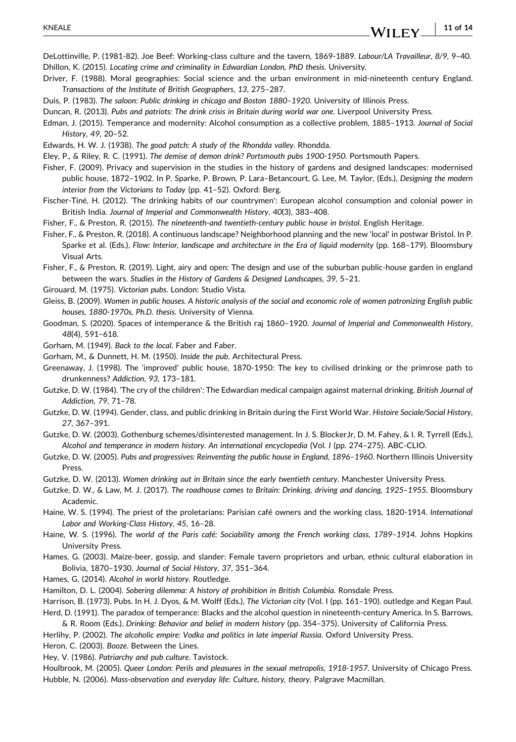- <span id="page-10-0"></span>DeLottinville, P. (1981‐82). Joe Beef: Working‐class culture and the tavern, 1869‐1889. *Labour/LA Travailleur*, *8/9*, 9–40. Dhillon, K. (2015). *Locating crime and criminality in Edwardian London, PhD thesis*. University.
- Driver, F. (1988). Moral geographies: Social science and the urban environment in mid‐nineteenth century England. *Transactions of the Institute of British Geographers*, *13*, 275–287.
- Duis, P. (1983). *The saloon: Public drinking in chicago and Boston 1880–1920*. University of Illinois Press.
- Duncan, R. (2013). *Pubs and patriots: The drink crisis in Britain during world war one*. Liverpool University Press.
- Edman, J. (2015). Temperance and modernity: Alcohol consumption as a collective problem, 1885–1913. *Journal of Social History*, *49*, 20–52.
- Edwards, H. W. J. (1938). *The good patch: A study of the Rhondda valley*. Rhondda.
- Eley, P., & Riley, R. C. (1991). *The demise of demon drink? Portsmouth pubs 1900‐1950*. Portsmouth Papers.
- Fisher, F. (2009). Privacy and supervision in the studies in the history of gardens and designed landscapes: modernised public house, 1872–1902. In P. Sparke, P. Brown, P. Lara–Betancourt, G. Lee, M. Taylor, (Eds.), *Designing the modern interior from the Victorians to Today* (pp. 41–52). Oxford: Berg.
- Fischer‐Tiné, H. (2012). 'The drinking habits of our countrymen': European alcohol consumption and colonial power in British India. *Journal of Imperial and Commonwealth History*, *40*(3), 383–408.
- Fisher, F., & Preston, R. (2015). *The nineteenth‐and twentieth‐century public house in bristol*. English Heritage.
- Fisher, F., & Preston, R. (2018). A continuous landscape? Neighborhood planning and the new 'local' in postwar Bristol. In P. Sparke et al. (Eds.), *Flow: Interior, landscape and architecture in the Era of liquid modernity* (pp. 168–179). Bloomsbury Visual Arts.
- Fisher, F., & Preston, R. (2019). Light, airy and open: The design and use of the suburban public-house garden in england between the wars. *Studies in the History of Gardens & Designed Landscapes*, *39*, 5–21.
- Girouard, M. (1975). *Victorian pubs*. London: Studio Vista.
- Gleiss, B. (2009). Women in public houses. A historic analysis of the social and economic role of women patronizing English public *houses, 1880‐1970s, Ph.D. thesis*. University of Vienna.
- Goodman, S. (2020). Spaces of intemperance & the British raj 1860–1920. *Journal of Imperial and Commonwealth History*, *48*(4), 591–618.
- Gorham, M. (1949). *Back to the local*. Faber and Faber.
- Gorham, M., & Dunnett, H. M. (1950). *Inside the pub*. Architectural Press.
- Greenaway, J. (1998). The 'improved' public house, 1870‐1950: The key to civilised drinking or the primrose path to drunkenness? *Addiction*, *93*, 173–181.
- Gutzke, D. W. (1984). 'The cry of the children': The Edwardian medical campaign against maternal drinking. *British Journal of Addiction*, *79*, 71–78.
- Gutzke, D. W. (1994). Gender, class, and public drinking in Britain during the First World War. *Histoire Sociale/Social History*, *27*, 367–391.
- Gutzke, D. W. (2003). Gothenburg schemes/disinterested management. In J. S. BlockerJr, D. M. Fahey, & I. R. Tyrrell (Eds.), *Alcohol and temperance in modern history. An international encyclopedia* (Vol. *I* (pp. 274–275). ABC‐CLIO.
- Gutzke, D. W. (2005). *Pubs and progressives: Reinventing the public house in England, 1896–1960*. Northern Illinois University Press.
- Gutzke, D. W. (2013). *Women drinking out in Britain since the early twentieth century*. Manchester University Press.
- Gutzke, D. W., & Law, M. J. (2017). *The roadhouse comes to Britain: Drinking, driving and dancing, 1925–1955*. Bloomsbury Academic.
- Haine, W. S. (1994). The priest of the proletarians: Parisian café owners and the working class, 1820‐1914. *International Labor and Working‐Class History*, *45*, 16–28.
- Haine, W. S. (1996). *The world of the Paris café: Sociability among the French working class, 1789–1914*. Johns Hopkins University Press.
- Hames, G. (2003). Maize‐beer, gossip, and slander: Female tavern proprietors and urban, ethnic cultural elaboration in Bolivia, 1870–1930. *Journal of Social History*, *37*, 351–364.
- Hames, G. (2014). *Alcohol in world history*. Routledge.
- Hamilton, D. L. (2004). *Sobering dilemma: A history of prohibition in British Columbia*. Ronsdale Press.
- Harrison, B. (1973). Pubs. In H. J. Dyos, & M. Wolff (Eds.), *The Victorian city* (Vol. I (pp. 161–190). outledge and Kegan Paul. Herd, D. (1991). The paradox of temperance: Blacks and the alcohol question in nineteenth‐century America. In S. Barrows,
- & R. Room (Eds.), *Drinking: Behavior and belief in modern history* (pp. 354–375). University of California Press.
- Herlihy, P. (2002). *The alcoholic empire: Vodka and politics in late imperial Russia*. Oxford University Press.
- Heron, C. (2003). *Booze*. Between the Lines.
- Hey, V. (1986). *Patriarchy and pub culture*. Tavistock.

Houlbrook, M. (2005). *Queer London: Perils and pleasures in the sexual metropolis, 1918‐1957*. University of Chicago Press. Hubble, N. (2006). *Mass‐observation and everyday life: Culture, history, theory*. Palgrave Macmillan.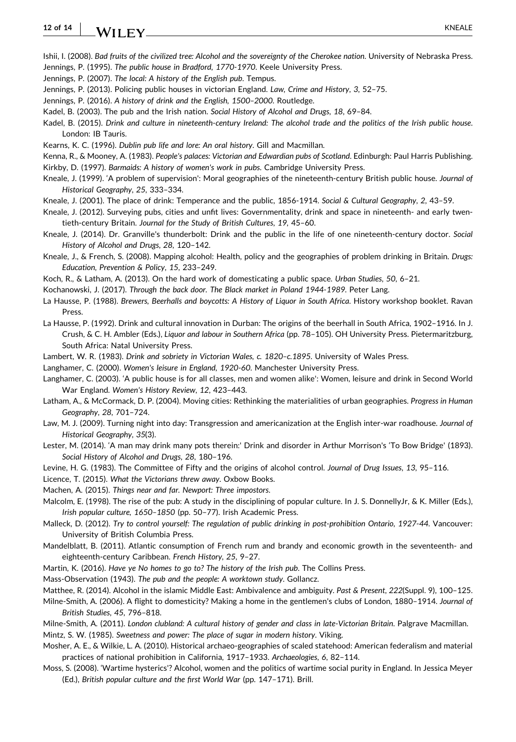#### <span id="page-11-0"></span>**12 of 14** WII FY KNEALE

Ishii, I. (2008). Bad fruits of the civilized tree: Alcohol and the sovereignty of the Cherokee nation. University of Nebraska Press. Jennings, P. (1995). *The public house in Bradford, 1770‐1970*. Keele University Press.

Jennings, P. (2007). *The local: A history of the English pub*. Tempus.

Jennings, P. (2013). Policing public houses in victorian England. *Law, Crime and History*, *3*, 52–75.

Jennings, P. (2016). *A history of drink and the English, 1500–2000*. Routledge.

Kadel, B. (2003). The pub and the Irish nation. *Social History of Alcohol and Drugs*, *18*, 69–84.

Kadel, B. (2015). Drink and culture in nineteenth-century Ireland: The alcohol trade and the politics of the Irish public house. London: IB Tauris.

Kearns, K. C. (1996). *Dublin pub life and lore: An oral history*. Gill and Macmillan.

Kenna, R., & Mooney, A. (1983). *People's palaces: Victorian and Edwardian pubs of Scotland*. Edinburgh: Paul Harris Publishing. Kirkby, D. (1997). *Barmaids: A history of women's work in pubs*. Cambridge University Press.

Kneale, J. (1999). 'A problem of supervision': Moral geographies of the nineteenth‐century British public house. *Journal of Historical Geography*, *25*, 333–334.

- Kneale, J. (2001). The place of drink: Temperance and the public, 1856‐1914. *Social & Cultural Geography*, *2*, 43–59.
- Kneale, J. (2012). Surveying pubs, cities and unfit lives: Governmentality, drink and space in nineteenth- and early twentieth‐century Britain. *Journal for the Study of British Cultures*, *19*, 45–60.
- Kneale, J. (2014). Dr. Granville's thunderbolt: Drink and the public in the life of one nineteenth‐century doctor. *Social History of Alcohol and Drugs*, *28*, 120–142.

Kneale, J., & French, S. (2008). Mapping alcohol: Health, policy and the geographies of problem drinking in Britain. *Drugs: Education, Prevention & Policy*, *15*, 233–249.

Koch, R., & Latham, A. (2013). On the hard work of domesticating a public space. *Urban Studies*, *50*, 6–21.

Kochanowski, J. (2017). *Through the back door. The Black market in Poland 1944‐1989*. Peter Lang.

La Hausse, P. (1988). *Brewers, Beerhalls and boycotts: A History of Liquor in South Africa*. History workshop booklet. Ravan Press.

La Hausse, P. (1992). Drink and cultural innovation in Durban: The origins of the beerhall in South Africa, 1902–1916. In J. Crush, & C. H. Ambler (Eds.), *Liquor and labour in Southern Africa* (pp. 78–105). OH University Press. Pietermaritzburg, South Africa: Natal University Press.

Lambert, W. R. (1983). *Drink and sobriety in Victorian Wales, c. 1820–c.1895*. University of Wales Press.

Langhamer, C. (2000). *Women's leisure in England, 1920‐60*. Manchester University Press.

- Langhamer, C. (2003). 'A public house is for all classes, men and women alike': Women, leisure and drink in Second World War England. *Women's History Review*, *12*, 423–443.
- Latham, A., & McCormack, D. P. (2004). Moving cities: Rethinking the materialities of urban geographies. *Progress in Human Geography*, *28*, 701–724.
- Law, M. J. (2009). Turning night into day: Transgression and americanization at the English inter‐war roadhouse. *Journal of Historical Geography*, *35*(3).
- Lester, M. (2014). 'A man may drink many pots therein:' Drink and disorder in Arthur Morrison's 'To Bow Bridge' (1893). *Social History of Alcohol and Drugs*, *28*, 180–196.

Levine, H. G. (1983). The Committee of Fifty and the origins of alcohol control. *Journal of Drug Issues*, *13*, 95–116.

Licence, T. (2015). *What the Victorians threw away*. Oxbow Books.

Machen, A. (2015). *Things near and far. Newport: Three impostors*.

Malcolm, E. (1998). The rise of the pub: A study in the disciplining of popular culture. In J. S. DonnellyJr, & K. Miller (Eds.), *Irish popular culture, 1650–1850* (pp. 50–77). Irish Academic Press.

Malleck, D. (2012). Try to control yourself: The regulation of public drinking in post-prohibition Ontario, 1927-44. Vancouver: University of British Columbia Press.

Mandelblatt, B. (2011). Atlantic consumption of French rum and brandy and economic growth in the seventeenth- and eighteenth‐century Caribbean. *French History*, *25*, 9–27.

Martin, K. (2016). *Have ye No homes to go to? The history of the Irish pub*. The Collins Press.

Mass‐Observation (1943). *The pub and the people: A worktown study*. Gollancz.

Matthee, R. (2014). Alcohol in the islamic Middle East: Ambivalence and ambiguity. *Past & Present*, *222*(Suppl. 9), 100–125.

Milne‐Smith, A. (2006). A flight to domesticity? Making a home in the gentlemen's clubs of London, 1880–1914. *Journal of British Studies*, *45*, 796–818.

Milne‐Smith, A. (2011). *London clubland: A cultural history of gender and class in late‐Victorian Britain*. Palgrave Macmillan. Mintz, S. W. (1985). *Sweetness and power: The place of sugar in modern history*. Viking.

Mosher, A. E., & Wilkie, L. A. (2010). Historical archaeo‐geographies of scaled statehood: American federalism and material practices of national prohibition in California, 1917–1933. *Archaeologies*, *6*, 82–114.

Moss, S. (2008). 'Wartime hysterics'? Alcohol, women and the politics of wartime social purity in England. In Jessica Meyer (Ed.), *British popular culture and the first World War* (pp. 147–171). Brill.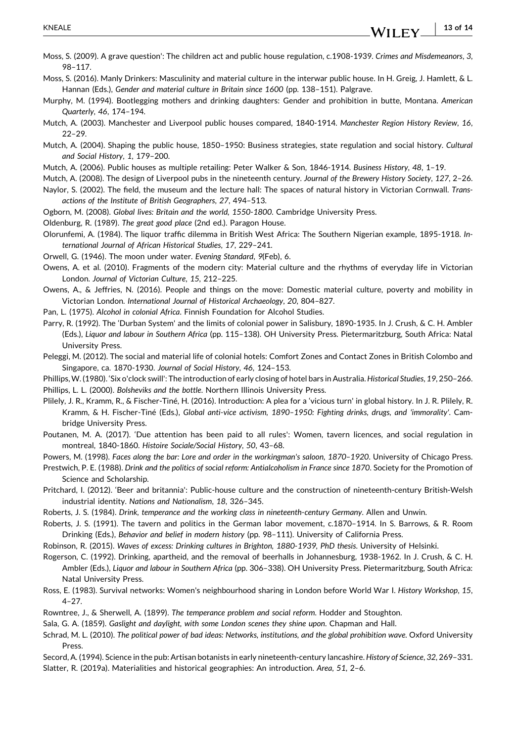- **13 of 14**WILEY.

- <span id="page-12-0"></span>Moss, S. (2009). A grave question': The children act and public house regulation, c.1908‐1939. *Crimes and Misdemeanors*, *3*, 98–117.
- Moss, S. (2016). Manly Drinkers: Masculinity and material culture in the interwar public house. In H. Greig, J. Hamlett, & L. Hannan (Eds.), *Gender and material culture in Britain since 1600* (pp. 138–151). Palgrave.
- Murphy, M. (1994). Bootlegging mothers and drinking daughters: Gender and prohibition in butte, Montana. *American Quarterly*, *46*, 174–194.
- Mutch, A. (2003). Manchester and Liverpool public houses compared, 1840‐1914. *Manchester Region History Review*, *16*,  $22-29$
- Mutch, A. (2004). Shaping the public house, 1850–1950: Business strategies, state regulation and social history. *Cultural and Social History*, *1*, 179–200.
- Mutch, A. (2006). Public houses as multiple retailing: Peter Walker & Son, 1846‐1914. *Business History*, *48*, 1–19.
- Mutch, A. (2008). The design of Liverpool pubs in the nineteenth century. *Journal of the Brewery History Society*, *127*, 2–26.
- Naylor, S. (2002). The field, the museum and the lecture hall: The spaces of natural history in Victorian Cornwall. *Transactions of the Institute of British Geographers*, *27*, 494–513.
- Ogborn, M. (2008). *Global lives: Britain and the world, 1550‐1800*. Cambridge University Press.
- Oldenburg, R. (1989). *The great good place* (2nd ed.). Paragon House.
- Olorunfemi, A. (1984). The liquor traffic dilemma in British West Africa: The Southern Nigerian example, 1895‐1918. *International Journal of African Historical Studies*, *17*, 229–241.
- Orwell, G. (1946). The moon under water. *Evening Standard*, *9*(Feb), 6.
- Owens, A. et al. (2010). Fragments of the modern city: Material culture and the rhythms of everyday life in Victorian London. *Journal of Victorian Culture*, *15*, 212–225.
- Owens, A., & Jeffries, N. (2016). People and things on the move: Domestic material culture, poverty and mobility in Victorian London. *International Journal of Historical Archaeology*, *20*, 804–827.
- Pan, L. (1975). *Alcohol in colonial Africa*. Finnish Foundation for Alcohol Studies.
- Parry, R. (1992). The 'Durban System' and the limits of colonial power in Salisbury, 1890‐1935. In J. Crush, & C. H. Ambler (Eds.), *Liquor and labour in Southern Africa* (pp. 115–138). OH University Press. Pietermaritzburg, South Africa: Natal University Press.
- Peleggi, M. (2012). The social and material life of colonial hotels: Comfort Zones and Contact Zones in British Colombo and Singapore, ca. 1870‐1930. *Journal of Social History*, *46*, 124–153.
- Phillips,W. (1980). 'Six o'clock swill': The introduction of early closing of hotel bars inAustralia.*Historical Studies*, *19*, 250–266. Phillips, L. L. (2000). *Bolsheviks and the bottle*. Northern Illinois University Press.
- Plilely, J. R., Kramm, R., & Fischer‐Tiné, H. (2016). Introduction: A plea for a 'vicious turn' in global history. In J. R. Plilely, R. Kramm, & H. Fischer‐Tiné (Eds.), *Global anti‐vice activism, 1890–1950: Fighting drinks, drugs, and 'immorality'*. Cambridge University Press.
- Poutanen, M. A. (2017). 'Due attention has been paid to all rules': Women, tavern licences, and social regulation in montreal, 1840‐1860. *Histoire Sociale/Social History*, *50*, 43–68.

Powers, M. (1998). *Faces along the bar: Lore and order in the workingman's saloon, 1870–1920*. University of Chicago Press.

- Prestwich, P. E. (1988). *Drink and the politics of social reform: Antialcoholism in France since 1870*. Society for the Promotion of Science and Scholarship.
- Pritchard, I. (2012). 'Beer and britannia': Public‐house culture and the construction of nineteenth‐century British‐Welsh industrial identity. *Nations and Nationalism*, *18*, 326–345.
- Roberts, J. S. (1984). *Drink, temperance and the working class in nineteenth‐century Germany*. Allen and Unwin.
- Roberts, J. S. (1991). The tavern and politics in the German labor movement, c.1870–1914. In S. Barrows, & R. Room Drinking (Eds.), *Behavior and belief in modern history* (pp. 98–111). University of California Press.
- Robinson, R. (2015). *Waves of excess: Drinking cultures in Brighton, 1880‐1939, PhD thesis*. University of Helsinki.
- Rogerson, C. (1992). Drinking, apartheid, and the removal of beerhalls in Johannesburg, 1938‐1962. In J. Crush, & C. H. Ambler (Eds.), *Liquor and labour in Southern Africa* (pp. 306–338). OH University Press. Pietermaritzburg, South Africa: Natal University Press.
- Ross, E. (1983). Survival networks: Women's neighbourhood sharing in London before World War I. *History Workshop*, *15*, 4–27.
- Rowntree, J., & Sherwell, A. (1899). *The temperance problem and social reform*. Hodder and Stoughton.
- Sala, G. A. (1859). *Gaslight and daylight, with some London scenes they shine upon*. Chapman and Hall.
- Schrad, M. L. (2010). *The political power of bad ideas: Networks, institutions, and the global prohibition wave*. Oxford University Press.
- Secord, A. (1994). Science in the pub: Artisan botanists in early nineteenth‐century lancashire. *History of Science*, *32*, 269–331.
- Slatter, R. (2019a). Materialities and historical geographies: An introduction. *Area*, *51*, 2–6.